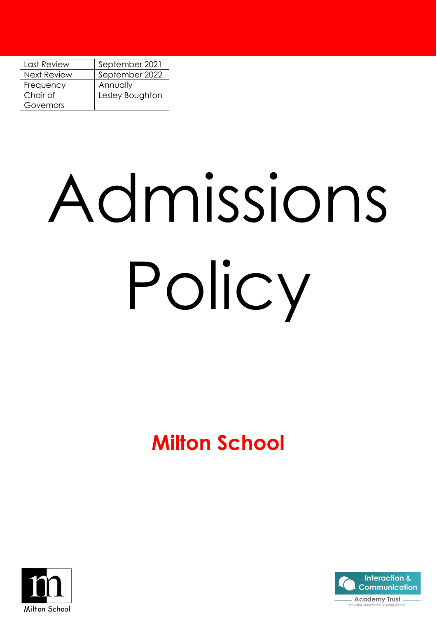| Last Review        | September 2021  |  |  |
|--------------------|-----------------|--|--|
| <b>Next Review</b> | September 2022  |  |  |
| Frequency          | Annually        |  |  |
| Chair of           | Lesley Boughton |  |  |
| Governors          |                 |  |  |

# Admissions Policy

# **Milton School**



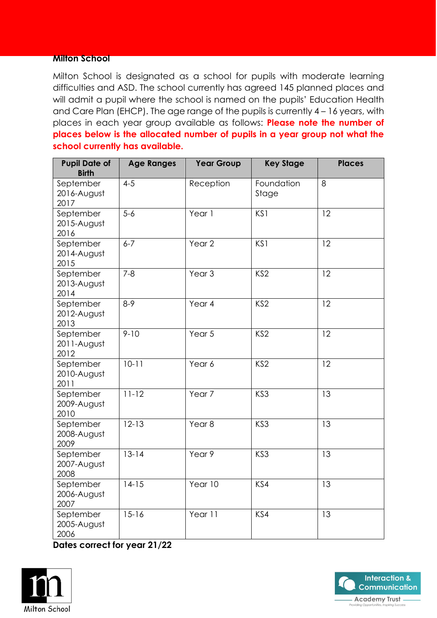#### **Milton School**

Milton School is designated as a school for pupils with moderate learning difficulties and ASD. The school currently has agreed 145 planned places and will admit a pupil where the school is named on the pupils' Education Health and Care Plan (EHCP). The age range of the pupils is currently 4 – 16 years, with places in each year group available as follows: **Please note the number of places below is the allocated number of pupils in a year group not what the school currently has available.**

| <b>Pupil Date of</b><br><b>Birth</b> | <b>Age Ranges</b> | <b>Year Group</b> | <b>Key Stage</b>    | <b>Places</b> |
|--------------------------------------|-------------------|-------------------|---------------------|---------------|
| September<br>2016-August<br>2017     | $4 - 5$           | Reception         | Foundation<br>Stage | 8             |
| September<br>2015-August<br>2016     | $5 - 6$           | Year 1            | KS1                 | 12            |
| September<br>2014-August<br>2015     | $6 - 7$           | Year <sub>2</sub> | KS1                 | 12            |
| September<br>2013-August<br>2014     | $7 - 8$           | Year <sub>3</sub> | KS <sub>2</sub>     | 12            |
| September<br>2012-August<br>2013     | $8-9$             | Year 4            | KS <sub>2</sub>     | 12            |
| September<br>2011-August<br>2012     | $9 - 10$          | Year 5            | KS <sub>2</sub>     | 12            |
| September<br>2010-August<br>2011     | $10 - 11$         | Year 6            | KS <sub>2</sub>     | 12            |
| September<br>2009-August<br>2010     | $11 - 12$         | Year <sub>7</sub> | KS3                 | 13            |
| September<br>2008-August<br>2009     | $12 - 13$         | Year <sub>8</sub> | KS3                 | 13            |
| September<br>2007-August<br>2008     | $13 - 14$         | Year 9            | KS3                 | 13            |
| September<br>2006-August<br>2007     | $14-15$           | Year 10           | KS4                 | 13            |
| September<br>2005-August<br>2006     | $15 - 16$         | Year 11           | KS4                 | 13            |

**Dates correct for year 21/22**



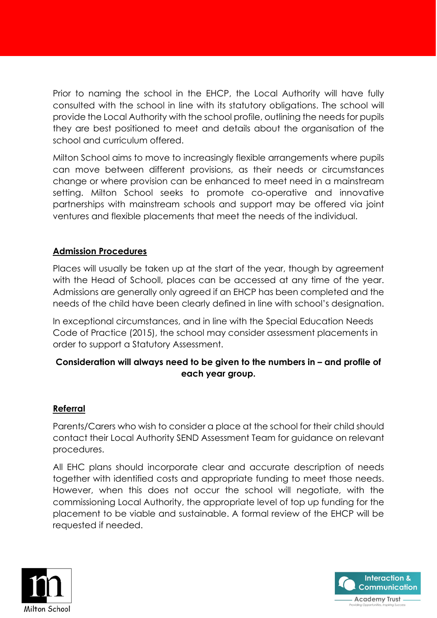Prior to naming the school in the EHCP, the Local Authority will have fully consulted with the school in line with its statutory obligations. The school will provide the Local Authority with the school profile, outlining the needs for pupils they are best positioned to meet and details about the organisation of the school and curriculum offered.

Milton School aims to move to increasingly flexible arrangements where pupils can move between different provisions, as their needs or circumstances change or where provision can be enhanced to meet need in a mainstream setting. Milton School seeks to promote co-operative and innovative partnerships with mainstream schools and support may be offered via joint ventures and flexible placements that meet the needs of the individual.

# **Admission Procedures**

Places will usually be taken up at the start of the year, though by agreement with the Head of Schooll, places can be accessed at any time of the year. Admissions are generally only agreed if an EHCP has been completed and the needs of the child have been clearly defined in line with school's designation.

In exceptional circumstances, and in line with the Special Education Needs Code of Practice (2015), the school may consider assessment placements in order to support a Statutory Assessment.

# **Consideration will always need to be given to the numbers in – and profile of each year group.**

# **Referral**

Parents/Carers who wish to consider a place at the school for their child should contact their Local Authority SEND Assessment Team for guidance on relevant procedures.

All EHC plans should incorporate clear and accurate description of needs together with identified costs and appropriate funding to meet those needs. However, when this does not occur the school will negotiate, with the commissioning Local Authority, the appropriate level of top up funding for the placement to be viable and sustainable. A formal review of the EHCP will be requested if needed.



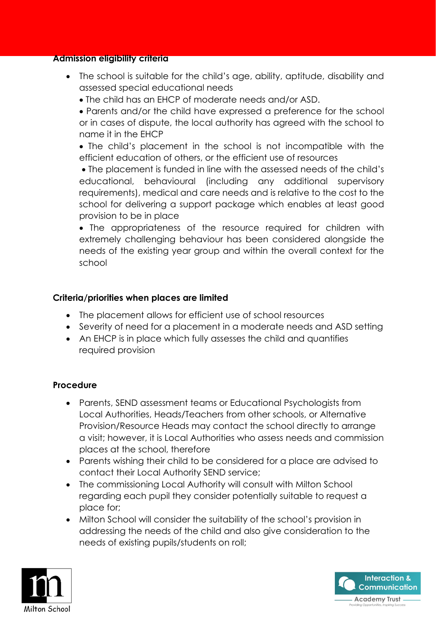#### **Admission eligibility criteria**

- The school is suitable for the child's age, ability, aptitude, disability and assessed special educational needs
	- The child has an EHCP of moderate needs and/or ASD.

• Parents and/or the child have expressed a preference for the school or in cases of dispute, the local authority has agreed with the school to name it in the EHCP

• The child's placement in the school is not incompatible with the efficient education of others, or the efficient use of resources

• The placement is funded in line with the assessed needs of the child's educational, behavioural (including any additional supervisory requirements), medical and care needs and is relative to the cost to the school for delivering a support package which enables at least good provision to be in place

• The appropriateness of the resource required for children with extremely challenging behaviour has been considered alongside the needs of the existing year group and within the overall context for the school

# **Criteria/priorities when places are limited**

- The placement allows for efficient use of school resources
- Severity of need for a placement in a moderate needs and ASD setting
- An EHCP is in place which fully assesses the child and quantifies required provision

## **Procedure**

- Parents, SEND assessment teams or Educational Psychologists from Local Authorities, Heads/Teachers from other schools, or Alternative Provision/Resource Heads may contact the school directly to arrange a visit; however, it is Local Authorities who assess needs and commission places at the school, therefore
- Parents wishing their child to be considered for a place are advised to contact their Local Authority SEND service;
- The commissioning Local Authority will consult with Milton School regarding each pupil they consider potentially suitable to request a place for;
- Milton School will consider the suitability of the school's provision in addressing the needs of the child and also give consideration to the needs of existing pupils/students on roll;